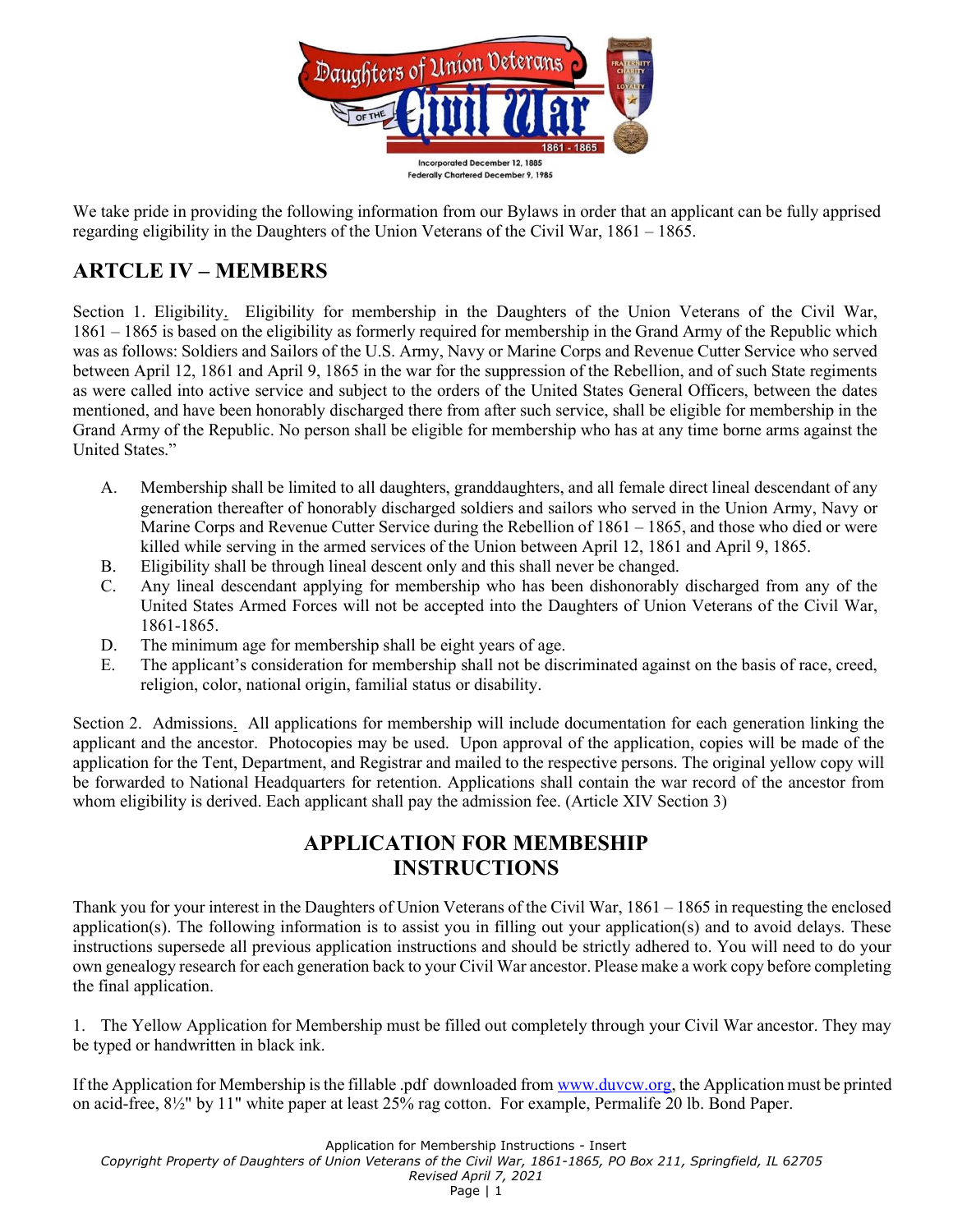

We take pride in providing the following information from our Bylaws in order that an applicant can be fully apprised regarding eligibility in the Daughters of the Union Veterans of the Civil War, 1861 – 1865.

## ARTCLE IV – MEMBERS

Section 1. Eligibility. Eligibility for membership in the Daughters of the Union Veterans of the Civil War, 1861 – 1865 is based on the eligibility as formerly required for membership in the Grand Army of the Republic which was as follows: Soldiers and Sailors of the U.S. Army, Navy or Marine Corps and Revenue Cutter Service who served between April 12, 1861 and April 9, 1865 in the war for the suppression of the Rebellion, and of such State regiments as were called into active service and subject to the orders of the United States General Officers, between the dates mentioned, and have been honorably discharged there from after such service, shall be eligible for membership in the Grand Army of the Republic. No person shall be eligible for membership who has at any time borne arms against the United States."

- A. Membership shall be limited to all daughters, granddaughters, and all female direct lineal descendant of any generation thereafter of honorably discharged soldiers and sailors who served in the Union Army, Navy or Marine Corps and Revenue Cutter Service during the Rebellion of 1861 – 1865, and those who died or were killed while serving in the armed services of the Union between April 12, 1861 and April 9, 1865.
- B. Eligibility shall be through lineal descent only and this shall never be changed.
- C. Any lineal descendant applying for membership who has been dishonorably discharged from any of the United States Armed Forces will not be accepted into the Daughters of Union Veterans of the Civil War, 1861-1865.
- D. The minimum age for membership shall be eight years of age.
- E. The applicant's consideration for membership shall not be discriminated against on the basis of race, creed, religion, color, national origin, familial status or disability.

Section 2. Admissions. All applications for membership will include documentation for each generation linking the applicant and the ancestor. Photocopies may be used. Upon approval of the application, copies will be made of the application for the Tent, Department, and Registrar and mailed to the respective persons. The original yellow copy will be forwarded to National Headquarters for retention. Applications shall contain the war record of the ancestor from whom eligibility is derived. Each applicant shall pay the admission fee. (Article XIV Section 3)

## APPLICATION FOR MEMBESHIP INSTRUCTIONS

Thank you for your interest in the Daughters of Union Veterans of the Civil War, 1861 – 1865 in requesting the enclosed application(s). The following information is to assist you in filling out your application(s) and to avoid delays. These instructions supersede all previous application instructions and should be strictly adhered to. You will need to do your own genealogy research for each generation back to your Civil War ancestor. Please make a work copy before completing the final application.

1. The Yellow Application for Membership must be filled out completely through your Civil War ancestor. They may be typed or handwritten in black ink.

If the Application for Membership is the fillable .pdf downloaded from www.duvcw.org, the Application must be printed on acid-free, 8½" by 11" white paper at least 25% rag cotton. For example, Permalife 20 lb. Bond Paper.